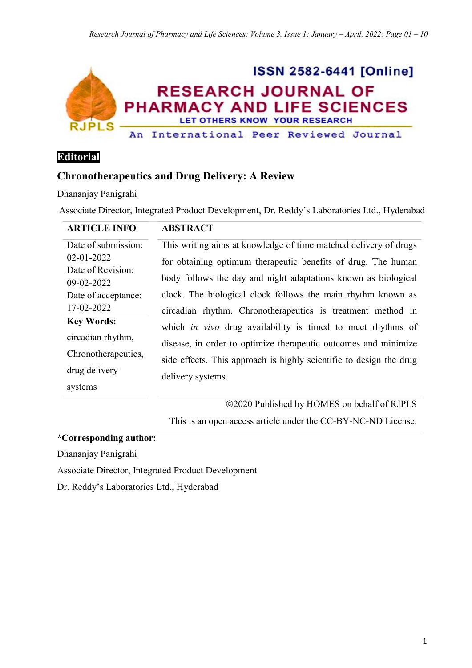

**Editorial** 

# **Chronotherapeutics and Drug Delivery: A Review**

Dhananjay Panigrahi

Associate Director, Integrated Product Development, Dr. Reddy's Laboratories Ltd., Hyderabad

| <b>ARTICLE INFO</b>             | <b>ABSTRACT</b>                                                     |
|---------------------------------|---------------------------------------------------------------------|
| Date of submission:             | This writing aims at knowledge of time matched delivery of drugs    |
| 02-01-2022                      | for obtaining optimum therapeutic benefits of drug. The human       |
| Date of Revision:<br>09-02-2022 | body follows the day and night adaptations known as biological      |
| Date of acceptance:             | clock. The biological clock follows the main rhythm known as        |
| 17-02-2022                      | circadian rhythm. Chronotherapeutics is treatment method in         |
| <b>Key Words:</b>               | which <i>in vivo</i> drug availability is timed to meet rhythms of  |
| circadian rhythm,               | disease, in order to optimize therapeutic outcomes and minimize     |
| Chronotherapeutics,             | side effects. This approach is highly scientific to design the drug |
| drug delivery                   | delivery systems.                                                   |
| systems                         |                                                                     |

2020 Published by HOMES on behalf of RJPLS

This is an open access article under the CC-BY-NC-ND License.

**\*Corresponding author:** 

Dhananjay Panigrahi

Associate Director, Integrated Product Development

Dr. Reddy's Laboratories Ltd., Hyderabad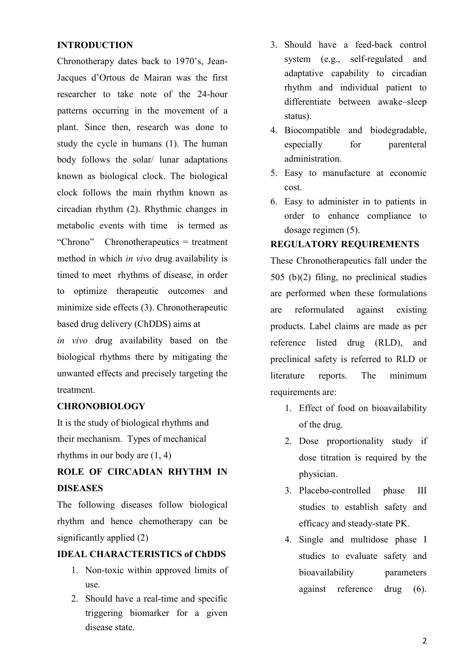#### **INTRODUCTION**

Chronotherapy dates back to 1970's, Jean-Jacques d'Ortous de Mairan was the first researcher to take note of the 24-hour patterns occurring in the movement of a plant. Since then, research was done to study the cycle in humans (1). The human body follows the solar/ lunar adaptations known as biological clock. The biological clock follows the main rhythm known as circadian rhythm (2). Rhythmic changes in metabolic events with time is termed as "Chrono" Chronotherapeutics = treatment method in which *in vivo* drug availability is timed to meet rhythms of disease, in order to optimize therapeutic outcomes and minimize side effects (3). Chronotherapeutic based drug delivery (ChDDS) aims at

*in vivo* drug availability based on the biological rhythms there by mitigating the unwanted effects and precisely targeting the treatment.

#### **CHRONOBIOLOGY**

It is the study of biological rhythms and their mechanism. Types of mechanical rhythms in our body are (1, 4)

## **ROLE OF CIRCADIAN RHYTHM IN DISEASES**

The following diseases follow biological rhythm and hence chemotherapy can be significantly applied (2)

#### **IDEAL CHARACTERISTICS of ChDDS**

- 1. Non‐toxic within approved limits of use.
- 2. Should have a real-time and specific triggering biomarker for a given disease state.
- 3. Should have a feed‐back control system (e.g., self-regulated and adaptative capability to circadian rhythm and individual patient to differentiate between awake–sleep status).
- 4. Biocompatible and biodegradable, especially for parenteral administration.
- 5. Easy to manufacture at economic cost.
- 6. Easy to administer in to patients in order to enhance compliance to dosage regimen (5).

#### **REGULATORY REQUIREMENTS**

These Chronotherapeutics fall under the 505 (b)(2) filing, no preclinical studies are performed when these formulations are reformulated against existing products. Label claims are made as per reference listed drug (RLD), and preclinical safety is referred to RLD or literature reports. The minimum requirements are:

- 1. Effect of food on bioavailability of the drug.
- 2. Dose proportionality study if dose titration is required by the physician.
- 3. Placebo-controlled phase III studies to establish safety and efficacy and steady-state PK.
- 4. Single and multidose phase I studies to evaluate safety and bioavailability parameters against reference drug (6).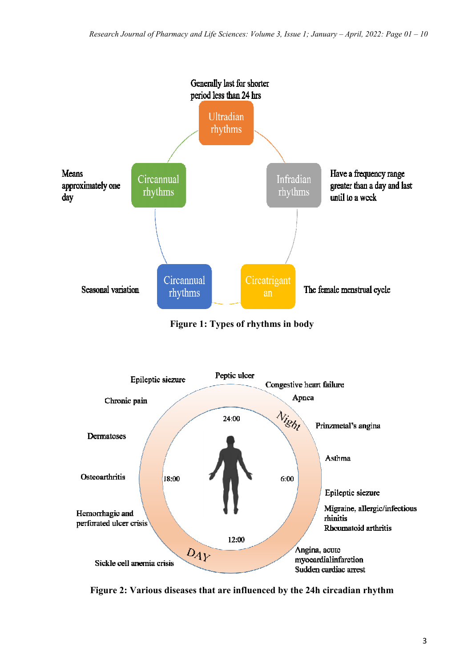

**Figure 1: Types of rhythms in body** 



**Figure 2: Various diseases that are influenced by the 24h circadian rhythm**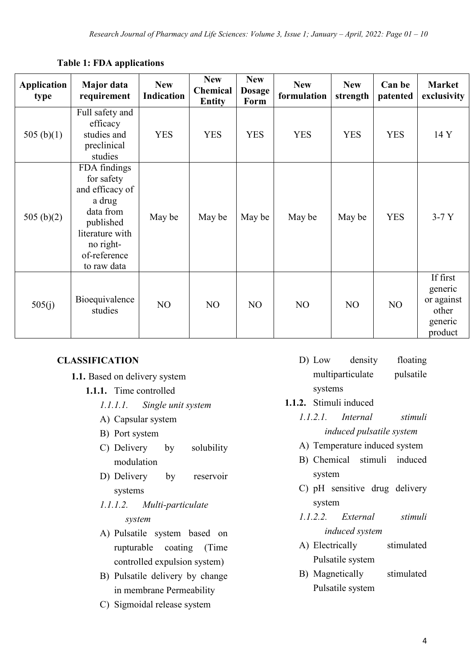| <b>Application</b><br>type | Major data<br>requirement                                                                                                                        | <b>New</b><br><b>Indication</b> | <b>New</b><br>Chemical<br><b>Entity</b> | <b>New</b><br><b>Dosage</b><br>Form | <b>New</b><br>formulation | <b>New</b><br>strength | Can be<br>patented | <b>Market</b><br>exclusivity                                     |
|----------------------------|--------------------------------------------------------------------------------------------------------------------------------------------------|---------------------------------|-----------------------------------------|-------------------------------------|---------------------------|------------------------|--------------------|------------------------------------------------------------------|
| 505 $(b)(1)$               | Full safety and<br>efficacy<br>studies and<br>preclinical<br>studies                                                                             | <b>YES</b>                      | <b>YES</b>                              | <b>YES</b>                          | <b>YES</b>                | <b>YES</b>             | <b>YES</b>         | 14 Y                                                             |
| 505 $(b)(2)$               | FDA findings<br>for safety<br>and efficacy of<br>a drug<br>data from<br>published<br>literature with<br>no right-<br>of-reference<br>to raw data | May be                          | May be                                  | May be                              | May be                    | May be                 | <b>YES</b>         | $3-7Y$                                                           |
| 505(i)                     | Bioequivalence<br>studies                                                                                                                        | NO                              | NO                                      | NO                                  | NO                        | NO                     | NO                 | If first<br>generic<br>or against<br>other<br>generic<br>product |

### **Table 1: FDA applications**

### **CLASSIFICATION**

- **1.1.** Based on delivery system
	- **1.1.1.** Time controlled
		- *1.1.1.1. Single unit system*
		- A) Capsular system
		- B) Port system
		- C) Delivery by solubility modulation
		- D) Delivery by reservoir systems
		- *1.1.1.2. Multi-particulate system*
		- A) Pulsatile system based on rupturable coating (Time controlled expulsion system)
		- B) Pulsatile delivery by change in membrane Permeability
		- C) Sigmoidal release system
- D) Low density floating multiparticulate pulsatile
	- systems
- **1.1.2.** Stimuli induced
	- *1.1.2.1. Internal stimuli induced pulsatile system*
	- A) Temperature induced system
	- B) Chemical stimuli induced system
	- C) pH sensitive drug delivery system
	- *1.1.2.2. External stimuli induced system*
	- A) Electrically stimulated Pulsatile system
	- B) Magnetically stimulated Pulsatile system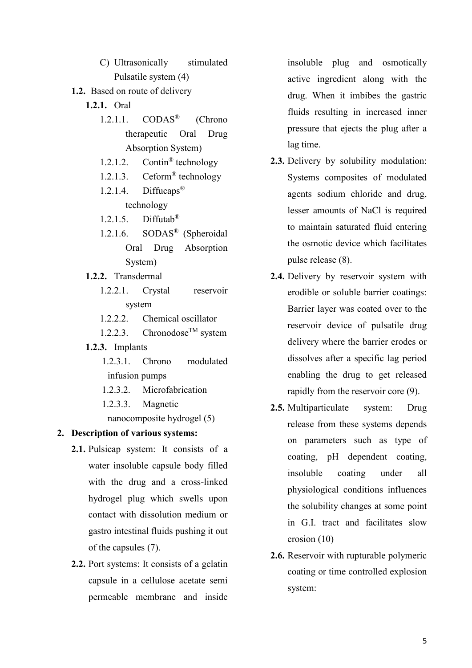- C) Ultrasonically stimulated Pulsatile system (4)
- **1.2.** Based on route of delivery
	- **1.2.1.** Oral
		- 1.2.1.1. CODAS® (Chrono therapeutic Oral Drug Absorption System)
		- 1.2.1.2. Contin® technology
		- 1.2.1.3. Ceform® technology
		- 1.2.1.4. Diffucaps<sup>®</sup> technology
		- 1.2.1.5. Diffutab®
		- 1.2.1.6. SODAS® (Spheroidal Oral Drug Absorption System)
	- **1.2.2.** Transdermal
		- 1.2.2.1. Crystal reservoir system
		- 1.2.2.2. Chemical oscillator
		- 1.2.2.3. Chronodose<sup>TM</sup> system
	- **1.2.3.** Implants
		- 1.2.3.1. Chrono modulated infusion pumps
		- 1.2.3.2. Microfabrication
		- 1.2.3.3. Magnetic

nanocomposite hydrogel (5)

#### **2. Description of various systems:**

- **2.1.** Pulsicap system: It consists of a water insoluble capsule body filled with the drug and a cross-linked hydrogel plug which swells upon contact with dissolution medium or gastro intestinal fluids pushing it out of the capsules (7).
- **2.2.** Port systems: It consists of a gelatin capsule in a cellulose acetate semi permeable membrane and inside

insoluble plug and osmotically active ingredient along with the drug. When it imbibes the gastric fluids resulting in increased inner pressure that ejects the plug after a lag time.

- **2.3.** Delivery by solubility modulation: Systems composites of modulated agents sodium chloride and drug, lesser amounts of NaCl is required to maintain saturated fluid entering the osmotic device which facilitates pulse release (8).
- **2.4.** Delivery by reservoir system with erodible or soluble barrier coatings: Barrier layer was coated over to the reservoir device of pulsatile drug delivery where the barrier erodes or dissolves after a specific lag period enabling the drug to get released rapidly from the reservoir core (9).
- **2.5.** Multiparticulate system: Drug release from these systems depends on parameters such as type of coating, pH dependent coating, insoluble coating under all physiological conditions influences the solubility changes at some point in G.I. tract and facilitates slow erosion (10)
- **2.6.** Reservoir with rupturable polymeric coating or time controlled explosion system: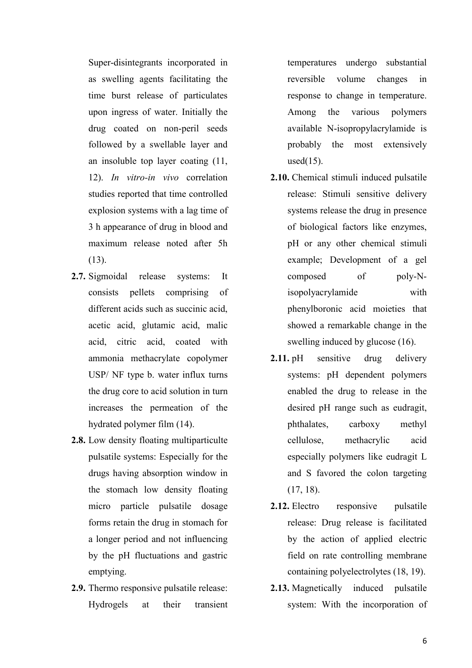Super-disintegrants incorporated in as swelling agents facilitating the time burst release of particulates upon ingress of water. Initially the drug coated on non-peril seeds followed by a swellable layer and an insoluble top layer coating (11, 12). *In vitro-in vivo* correlation studies reported that time controlled explosion systems with a lag time of 3 h appearance of drug in blood and maximum release noted after 5h (13).

- 2.7. Sigmoidal release systems: It consists pellets comprising of different acids such as succinic acid, acetic acid, glutamic acid, malic acid, citric acid, coated with ammonia methacrylate copolymer USP/ NF type b. water influx turns the drug core to acid solution in turn increases the permeation of the hydrated polymer film (14).
- **2.8.** Low density floating multiparticulte pulsatile systems: Especially for the drugs having absorption window in the stomach low density floating micro particle pulsatile dosage forms retain the drug in stomach for a longer period and not influencing by the pH fluctuations and gastric emptying.
- **2.9.** Thermo responsive pulsatile release: Hydrogels at their transient

temperatures undergo substantial reversible volume changes in response to change in temperature. Among the various polymers available N-isopropylacrylamide is probably the most extensively used $(15)$ .

- **2.10.** Chemical stimuli induced pulsatile release: Stimuli sensitive delivery systems release the drug in presence of biological factors like enzymes, pH or any other chemical stimuli example; Development of a gel composed of poly-Nisopolyacrylamide with phenylboronic acid moieties that showed a remarkable change in the swelling induced by glucose (16).
- 2.11. pH sensitive drug delivery systems: pH dependent polymers enabled the drug to release in the desired pH range such as eudragit, phthalates, carboxy methyl cellulose, methacrylic acid especially polymers like eudragit L and S favored the colon targeting (17, 18).
- 2.12. Electro responsive pulsatile release: Drug release is facilitated by the action of applied electric field on rate controlling membrane containing polyelectrolytes (18, 19).
- **2.13.** Magnetically induced pulsatile system: With the incorporation of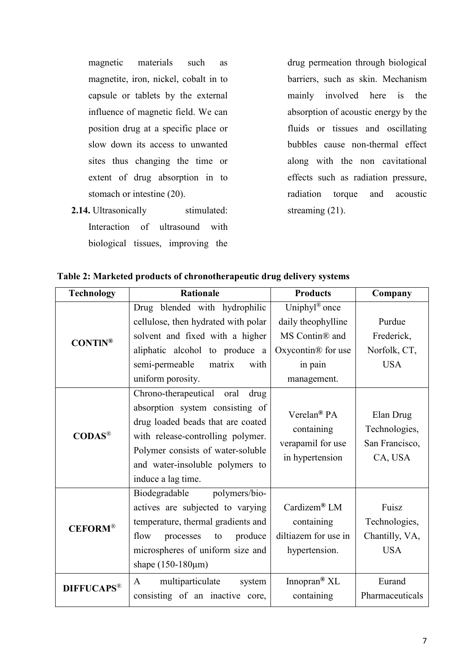magnetic materials such as magnetite, iron, nickel, cobalt in to capsule or tablets by the external influence of magnetic field. We can position drug at a specific place or slow down its access to unwanted sites thus changing the time or extent of drug absorption in to stomach or intestine (20).

**2.14.** Ultrasonically stimulated: Interaction of ultrasound with biological tissues, improving the

drug permeation through biological barriers, such as skin. Mechanism mainly involved here is the absorption of acoustic energy by the fluids or tissues and oscillating bubbles cause non-thermal effect along with the non cavitational effects such as radiation pressure, radiation torque and acoustic streaming (21).

| <b>Technology</b>           | <b>Rationale</b>                                                                                                                                                                                                                             | <b>Products</b>                                                                                                               | Company                                                 |
|-----------------------------|----------------------------------------------------------------------------------------------------------------------------------------------------------------------------------------------------------------------------------------------|-------------------------------------------------------------------------------------------------------------------------------|---------------------------------------------------------|
| $CONTIN^{\circledR}$        | Drug blended with hydrophilic<br>cellulose, then hydrated with polar<br>solvent and fixed with a higher<br>aliphatic alcohol to produce a<br>semi-permeable<br>matrix<br>with<br>uniform porosity.                                           | Uniphyl <sup>®</sup> once<br>daily theophylline<br>MS Contin® and<br>Oxycontin <sup>®</sup> for use<br>in pain<br>management. | Purdue<br>Frederick,<br>Norfolk, CT,<br><b>USA</b>      |
| $\mathbf{CDAS}^{\circledR}$ | Chrono-therapeutical oral<br>drug<br>absorption system consisting of<br>drug loaded beads that are coated<br>with release-controlling polymer.<br>Polymer consists of water-soluble<br>and water-insoluble polymers to<br>induce a lag time. | Verelan <sup>®</sup> PA<br>containing<br>verapamil for use<br>in hypertension                                                 | Elan Drug<br>Technologies,<br>San Francisco,<br>CA, USA |
| <b>CEFORM®</b>              | Biodegradable<br>polymers/bio-<br>actives are subjected to varying<br>temperature, thermal gradients and<br>flow<br>produce<br>processes<br>to<br>microspheres of uniform size and<br>shape $(150-180 \mu m)$                                | Cardizem® $LM$<br>containing<br>diltiazem for use in<br>hypertension.                                                         | Fuisz<br>Technologies,<br>Chantilly, VA,<br><b>USA</b>  |
| <b>DIFFUCAPS®</b>           | multiparticulate<br>A<br>system<br>consisting of an inactive core,                                                                                                                                                                           | Innopran <sup>®</sup> $XL$<br>containing                                                                                      | Eurand<br>Pharmaceuticals                               |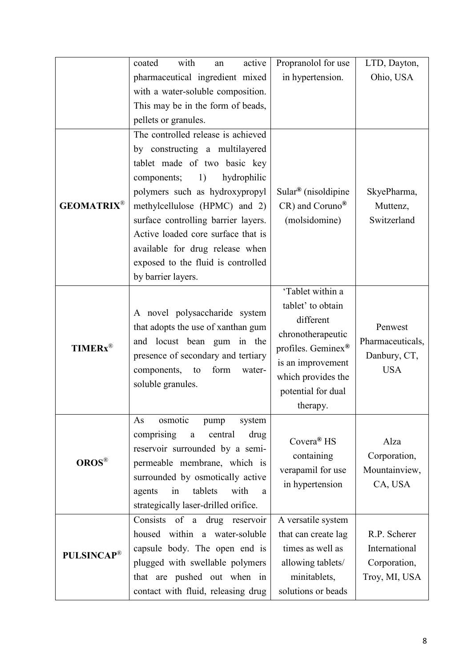|                            | with<br>coated<br>active<br>an            | Propranolol for use             | LTD, Dayton,     |
|----------------------------|-------------------------------------------|---------------------------------|------------------|
|                            | pharmaceutical ingredient mixed           | in hypertension.                | Ohio, USA        |
|                            | with a water-soluble composition.         |                                 |                  |
|                            | This may be in the form of beads,         |                                 |                  |
|                            | pellets or granules.                      |                                 |                  |
|                            | The controlled release is achieved        |                                 |                  |
|                            | by constructing a multilayered            |                                 |                  |
|                            | tablet made of two basic key              |                                 |                  |
|                            | hydrophilic<br>components;<br>1)          |                                 |                  |
|                            | polymers such as hydroxypropyl            | Sular <sup>®</sup> (nisoldipine | SkyePharma,      |
| <b>GEOMATRIX®</b>          | methylcellulose (HPMC) and 2)             | CR) and Coruno®                 | Muttenz,         |
|                            | surface controlling barrier layers.       | (molsidomine)                   | Switzerland      |
|                            | Active loaded core surface that is        |                                 |                  |
|                            | available for drug release when           |                                 |                  |
|                            | exposed to the fluid is controlled        |                                 |                  |
|                            | by barrier layers.                        |                                 |                  |
|                            |                                           | 'Tablet within a                |                  |
|                            | A novel polysaccharide system             | tablet' to obtain               |                  |
|                            | that adopts the use of xanthan gum        | different                       | Penwest          |
|                            | and locust bean gum in the                | chronotherapeutic               | Pharmaceuticals, |
| <b>TIMERx</b> <sup>®</sup> | presence of secondary and tertiary        | profiles. Geminex®              | Danbury, CT,     |
|                            | components,<br>form<br>to<br>water-       | is an improvement               | <b>USA</b>       |
|                            | soluble granules.                         | which provides the              |                  |
|                            |                                           | potential for dual              |                  |
|                            |                                           | therapy.                        |                  |
|                            | osmotic<br>system<br>As<br>pump           |                                 |                  |
| <b>OROS®</b>               | comprising<br>central<br>drug<br>$\rm{a}$ | Covera <sup>®</sup> HS          | Alza             |
|                            | reservoir surrounded by a semi-           | containing                      | Corporation,     |
|                            | permeable membrane, which is              | verapamil for use               | Mountainview,    |
|                            | surrounded by osmotically active          | in hypertension                 | CA, USA          |
|                            | tablets<br>with<br>in<br>agents<br>a      |                                 |                  |
|                            | strategically laser-drilled orifice.      |                                 |                  |
| <b>PULSINCAP®</b>          | Consists of a drug reservoir              | A versatile system              |                  |
|                            | housed within a water-soluble             | that can create lag             | R.P. Scherer     |
|                            | capsule body. The open end is             | times as well as                | International    |
|                            | plugged with swellable polymers           | allowing tablets/               | Corporation,     |
|                            | that are pushed out when in               | minitablets,                    | Troy, MI, USA    |
|                            | contact with fluid, releasing drug        | solutions or beads              |                  |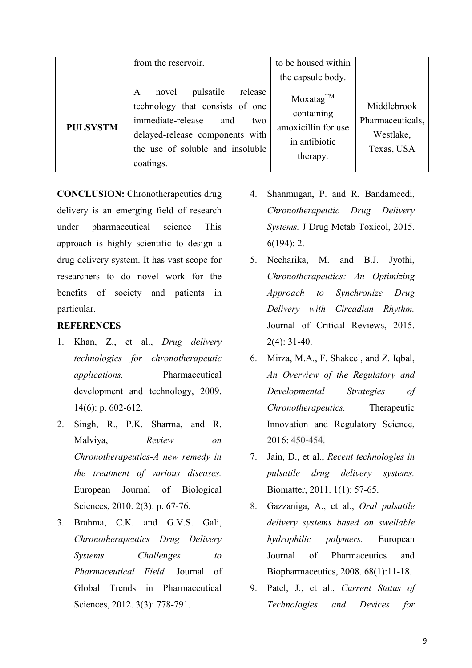|                 | from the reservoir.                                                                                                                                                                          | to be housed within<br>the capsule body.                                                |                                                            |
|-----------------|----------------------------------------------------------------------------------------------------------------------------------------------------------------------------------------------|-----------------------------------------------------------------------------------------|------------------------------------------------------------|
| <b>PULSYSTM</b> | pulsatile<br>release<br>novel<br>A<br>technology that consists of one<br>immediate-release<br>and<br>two<br>delayed-release components with<br>the use of soluble and insoluble<br>coatings. | Moxatag <sup>TM</sup><br>containing<br>amoxicillin for use<br>in antibiotic<br>therapy. | Middlebrook<br>Pharmaceuticals,<br>Westlake,<br>Texas, USA |

**CONCLUSION:** Chronotherapeutics drug delivery is an emerging field of research under pharmaceutical science This approach is highly scientific to design a drug delivery system. It has vast scope for researchers to do novel work for the benefits of society and patients in particular.

#### **REFERENCES**

- 1. Khan, Z., et al., *Drug delivery technologies for chronotherapeutic applications.* Pharmaceutical development and technology, 2009. 14(6): p. 602-612.
- 2. Singh, R., P.K. Sharma, and R. Malviya, *Review on Chronotherapeutics-A new remedy in the treatment of various diseases.* European Journal of Biological Sciences, 2010. 2(3): p. 67-76.
- 3. Brahma, C.K. and G.V.S. Gali, *Chronotherapeutics Drug Delivery Systems Challenges to Pharmaceutical Field.* Journal of Global Trends in Pharmaceutical Sciences, 2012. 3(3): 778-791.
- 4. Shanmugan, P. and R. Bandameedi, *Chronotherapeutic Drug Delivery Systems.* J Drug Metab Toxicol, 2015. 6(194): 2.
- 5. Neeharika, M. and B.J. Jyothi, *Chronotherapeutics: An Optimizing Approach to Synchronize Drug Delivery with Circadian Rhythm.*  Journal of Critical Reviews, 2015. 2(4): 31-40.
- 6. Mirza, M.A., F. Shakeel, and Z. Iqbal, *An Overview of the Regulatory and Developmental Strategies of Chronotherapeutics.* Therapeutic Innovation and Regulatory Science, 2016: 450-454.
- 7. Jain, D., et al., *Recent technologies in pulsatile drug delivery systems.* Biomatter, 2011. 1(1): 57-65.
- 8. Gazzaniga, A., et al., *Oral pulsatile delivery systems based on swellable hydrophilic polymers.* European Journal of Pharmaceutics and Biopharmaceutics, 2008. 68(1):11-18.
- 9. Patel, J., et al., *Current Status of Technologies and Devices for*